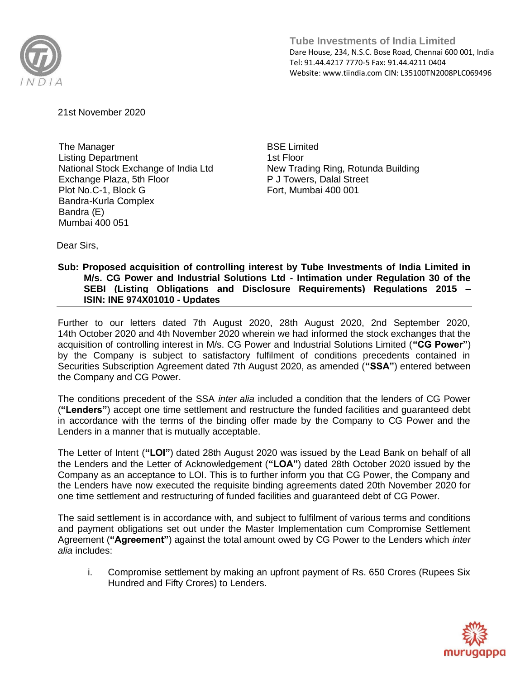

**Tube Investments of India Limited**  Dare House, 234, N.S.C. Bose Road, Chennai 600 001, India Tel: 91.44.4217 7770-5 Fax: 91.44.4211 0404 Website: www.tiindia.com CIN: L35100TN2008PLC069496

21st November 2020

The Manager Listing Department National Stock Exchange of India Ltd Exchange Plaza, 5th Floor Plot No.C-1, Block G Bandra-Kurla Complex Bandra (E) Mumbai 400 051

BSE Limited 1st Floor New Trading Ring, Rotunda Building P J Towers, Dalal Street Fort, Mumbai 400 001

Dear Sirs,

## **Sub: Proposed acquisition of controlling interest by Tube Investments of India Limited in M/s. CG Power and Industrial Solutions Ltd - Intimation under Regulation 30 of the SEBI (Listing Obligations and Disclosure Requirements) Regulations 2015 – ISIN: INE 974X01010 - Updates**

Further to our letters dated 7th August 2020, 28th August 2020, 2nd September 2020, 14th October 2020 and 4th November 2020 wherein we had informed the stock exchanges that the acquisition of controlling interest in M/s. CG Power and Industrial Solutions Limited (**"CG Power"**) by the Company is subject to satisfactory fulfilment of conditions precedents contained in Securities Subscription Agreement dated 7th August 2020, as amended (**"SSA"**) entered between the Company and CG Power.

The conditions precedent of the SSA *inter alia* included a condition that the lenders of CG Power (**"Lenders"**) accept one time settlement and restructure the funded facilities and guaranteed debt in accordance with the terms of the binding offer made by the Company to CG Power and the Lenders in a manner that is mutually acceptable.

The Letter of Intent (**"LOI"**) dated 28th August 2020 was issued by the Lead Bank on behalf of all the Lenders and the Letter of Acknowledgement (**"LOA"**) dated 28th October 2020 issued by the Company as an acceptance to LOI. This is to further inform you that CG Power, the Company and the Lenders have now executed the requisite binding agreements dated 20th November 2020 for one time settlement and restructuring of funded facilities and guaranteed debt of CG Power.

The said settlement is in accordance with, and subject to fulfilment of various terms and conditions and payment obligations set out under the Master Implementation cum Compromise Settlement Agreement (**"Agreement"**) against the total amount owed by CG Power to the Lenders which *inter alia* includes:

i. Compromise settlement by making an upfront payment of Rs. 650 Crores (Rupees Six Hundred and Fifty Crores) to Lenders.